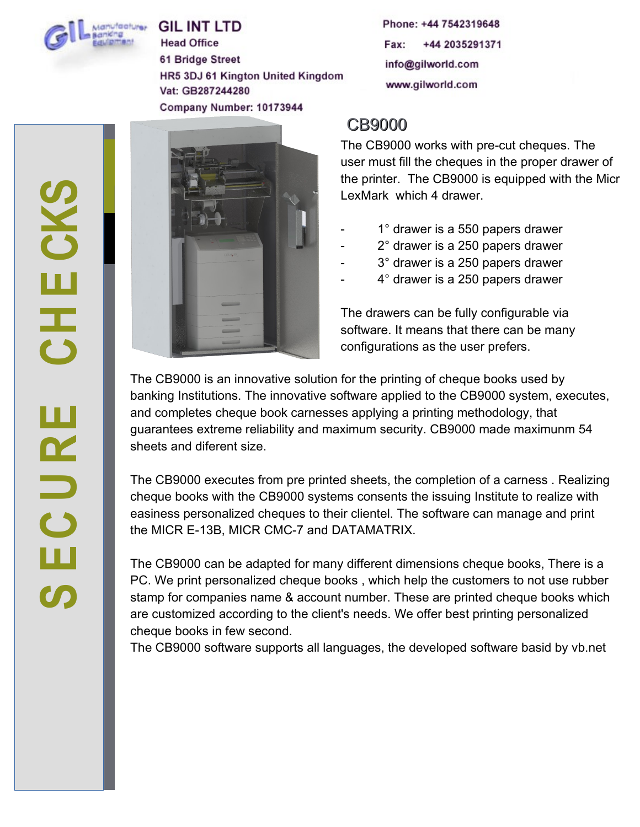

**GIL INT LTD Head Office 61 Bridge Street** HR5 3DJ 61 Kington United Kingdom Vat: GB287244280 Company Number: 10173944

Phone: +44 7542319648 Fax: +44 2035291371 info@gilworld.com www.gilworld.com

# CB9000

The CB9000 works with pre-cut cheques. The user must fill the cheques in the proper drawer of the printer. The CB9000 is equipped with the Micr LexMark which 4 drawer.

- 1° drawer is a 550 papers drawer
- $2^\circ$  drawer is a 250 papers drawer
- 3° drawer is a 250 papers drawer
- 4° drawer is a 250 papers drawer

The drawers can be fully configurable via software. It means that there can be many configurations as the user prefers.

The CB9000 is an innovative solution for the printing of cheque books used by banking Institutions. The innovative software applied to the CB9000 system, executes, and completes cheque book carnesses applying a printing methodology, that guarantees extreme reliability and maximum security. CB9000 made maximunm 54 sheets and diferent size.

The CB9000 executes from pre printed sheets, the completion of a carness . Realizing cheque books with the CB9000 systems consents the issuing Institute to realize with easiness personalized cheques to their clientel. The software can manage and print the MICR E-13B, MICR CMC-7 and DATAMATRIX.

The CB9000 can be adapted for many different dimensions cheque books, There is a PC. We print personalized cheque books , which help the customers to not use rubber stamp for companies name & account number. These are printed cheque books which are customized according to the client's needs. We offer best printing personalized cheque books in few second.

The CB9000 software supports all languages, the developed software basid by vb.net